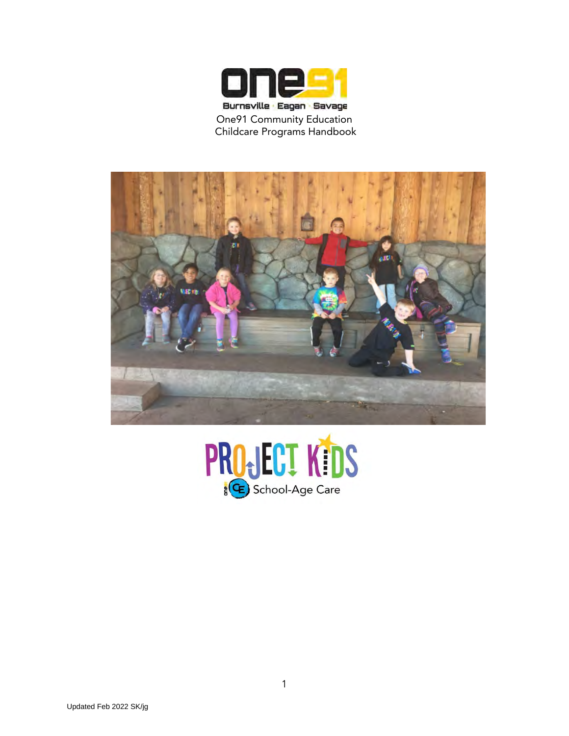



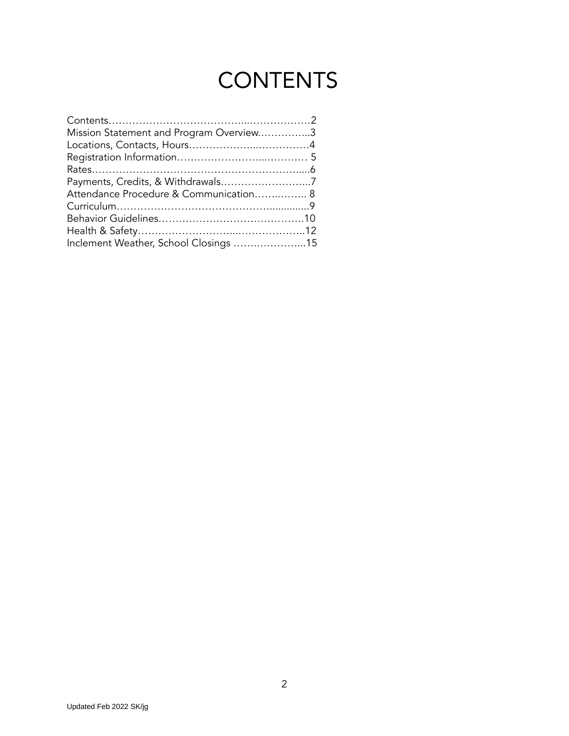# **CONTENTS**

| Mission Statement and Program Overview3 |  |
|-----------------------------------------|--|
|                                         |  |
|                                         |  |
|                                         |  |
|                                         |  |
| Attendance Procedure & Communication 8  |  |
|                                         |  |
|                                         |  |
|                                         |  |
| Inclement Weather, School Closings 15   |  |
|                                         |  |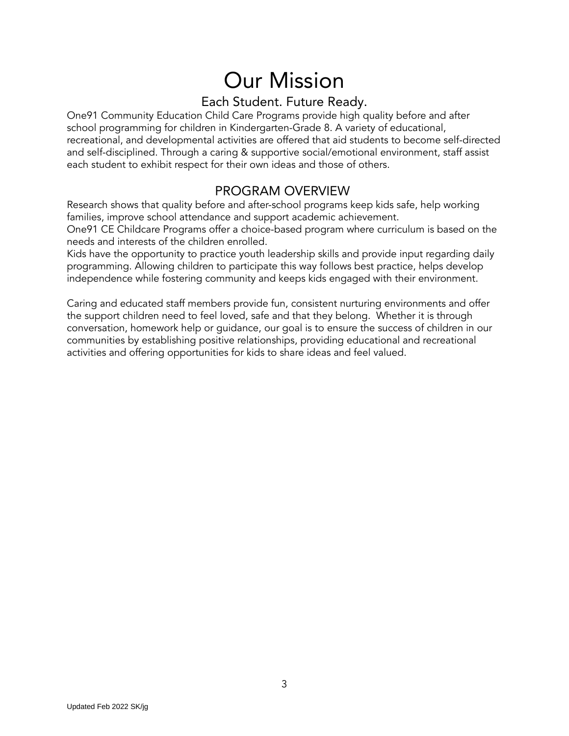# Our Mission

## Each Student. Future Ready.

One91 Community Education Child Care Programs provide high quality before and after school programming for children in Kindergarten-Grade 8. A variety of educational, recreational, and developmental activities are offered that aid students to become self-directed and self-disciplined. Through a caring & supportive social/emotional environment, staff assist each student to exhibit respect for their own ideas and those of others.

### PROGRAM OVERVIEW

Research shows that quality before and after-school programs keep kids safe, help working families, improve school attendance and support academic achievement.

One91 CE Childcare Programs offer a choice-based program where curriculum is based on the needs and interests of the children enrolled.

Kids have the opportunity to practice youth leadership skills and provide input regarding daily programming. Allowing children to participate this way follows best practice, helps develop independence while fostering community and keeps kids engaged with their environment.

Caring and educated staff members provide fun, consistent nurturing environments and offer the support children need to feel loved, safe and that they belong. Whether it is through conversation, homework help or guidance, our goal is to ensure the success of children in our communities by establishing positive relationships, providing educational and recreational activities and offering opportunities for kids to share ideas and feel valued.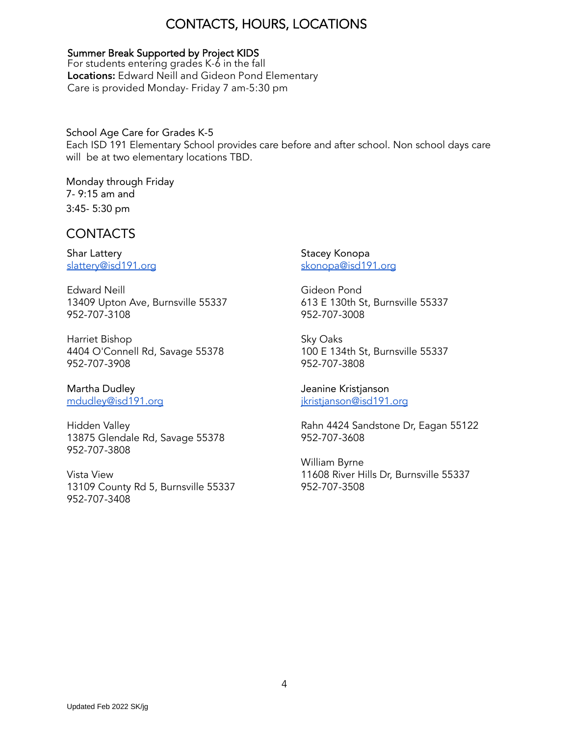# CONTACTS, HOURS, LOCATIONS

#### Summer Break Supported by Project KIDS

For students entering grades K-6 in the fall Locations: Edward Neill and Gideon Pond Elementary Care is provided Monday- Friday 7 am-5:30 pm

### School Age Care for Grades K-5

Each ISD 191 Elementary School provides care before and after school. Non school days care will be at two elementary locations TBD.

Monday through Friday 7- 9:15 am and 3:45- 5:30 pm

### CONTACTS

Shar Lattery [slattery@isd191.org](mailto:slattery@isd191.org)

Edward Neill 13409 Upton Ave, Burnsville 55337 952-707-3108

Harriet Bishop 4404 O'Connell Rd, Savage 55378 952-707-3908

Martha Dudley [mdudley@isd191.org](mailto:mdudley@isd191.org)

Hidden Valley 13875 Glendale Rd, Savage 55378 952-707-3808

Vista View 13109 County Rd 5, Burnsville 55337 952-707-3408

Stacey Konopa [skonopa@isd191.org](mailto:skonopa@isd191.org)

Gideon Pond 613 E 130th St, Burnsville 55337 952-707-3008

Sky Oaks 100 E 134th St, Burnsville 55337 952-707-3808

Jeanine Kristjanson [jkristjanson@isd191.org](mailto:jkristjanson@isd191.org)

Rahn 4424 Sandstone Dr, Eagan 55122 952-707-3608

William Byrne 11608 River Hills Dr, Burnsville 55337 952-707-3508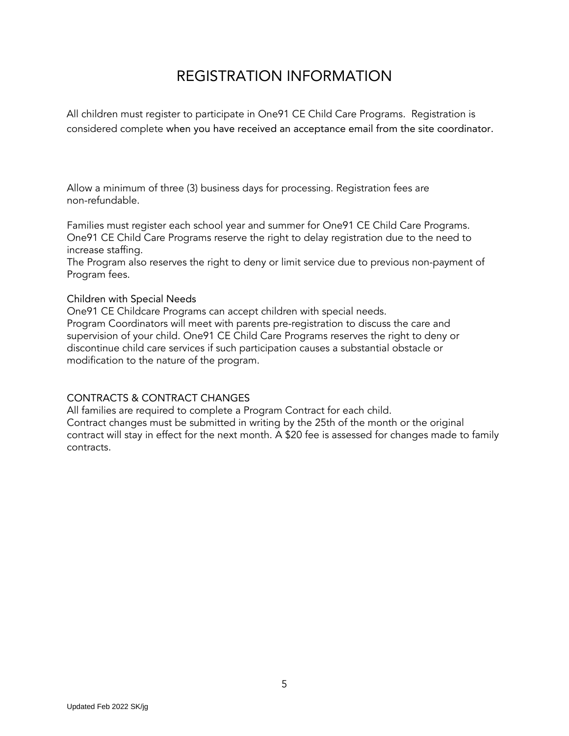# REGISTRATION INFORMATION

All children must register to participate in One91 CE Child Care Programs. Registration is considered complete when you have received an acceptance email from the site coordinator.

Allow a minimum of three (3) business days for processing. Registration fees are non-refundable.

Families must register each school year and summer for One91 CE Child Care Programs. One91 CE Child Care Programs reserve the right to delay registration due to the need to increase staffing.

The Program also reserves the right to deny or limit service due to previous non-payment of Program fees.

### Children with Special Needs

One91 CE Childcare Programs can accept children with special needs.

Program Coordinators will meet with parents pre-registration to discuss the care and supervision of your child. One91 CE Child Care Programs reserves the right to deny or discontinue child care services if such participation causes a substantial obstacle or modification to the nature of the program.

### CONTRACTS & CONTRACT CHANGES

All families are required to complete a Program Contract for each child. Contract changes must be submitted in writing by the 25th of the month or the original contract will stay in effect for the next month. A \$20 fee is assessed for changes made to family contracts.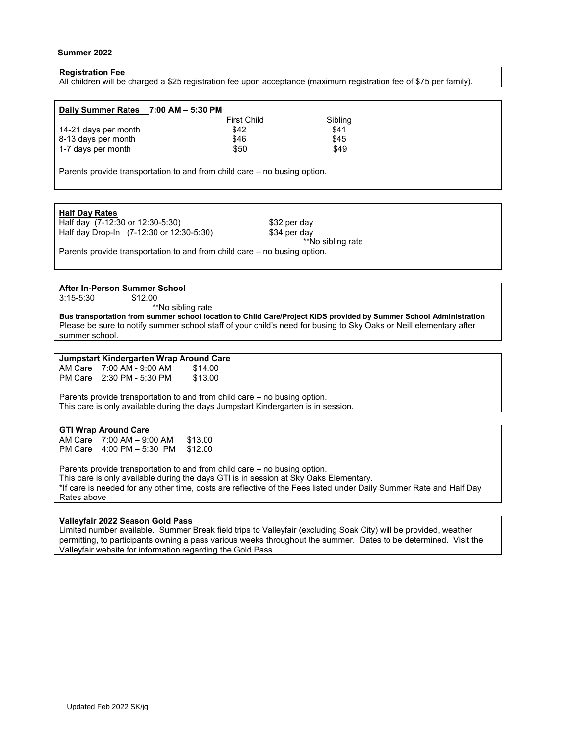#### **Summer 2022**

#### **Registration Fee**

All children will be charged a \$25 registration fee upon acceptance (maximum registration fee of \$75 per family).

| Daily Summer Rates 7:00 AM - 5:30 PM |                    |         |
|--------------------------------------|--------------------|---------|
|                                      | <b>First Child</b> | Sibling |
| 14-21 days per month                 | \$42               | \$41    |
| 8-13 days per month                  | \$46               | \$45    |
| 1-7 days per month                   | \$50               | \$49    |

Parents provide transportation to and from child care – no busing option.

#### **Half Day Rates**

Half day (7-12:30 or 12:30-5:30) \$32 per day Half day Drop-In (7-12:30 or 12:30-5:30) \$34 per day

\*\*No sibling rate

Parents provide transportation to and from child care – no busing option.

#### **After In-Person Summer School**

3:15-5:30 \$12.00

\*\*No sibling rate

**Bus transportation from summer school location to Child Care/Project KIDS provided by Summer School Administration** Please be sure to notify summer school staff of your child's need for busing to Sky Oaks or Neill elementary after summer school.

#### **Jumpstart Kindergarten Wrap Around Care**

AM Care 7:00 AM - 9:00 AM \$14.00<br>PM Care 2:30 PM - 5:30 PM \$13.00 PM Care 2:30 PM - 5:30 PM

Parents provide transportation to and from child care – no busing option. This care is only available during the days Jumpstart Kindergarten is in session.

#### **GTI Wrap Around Care**

AM Care 7:00 AM – 9:00 AM \$13.00<br>PM Care 4:00 PM – 5:30 PM \$12.00  $PM$  Care  $4:00$  PM  $-5:30$  PM

Parents provide transportation to and from child care – no busing option. This care is only available during the days GTI is in session at Sky Oaks Elementary. \*If care is needed for any other time, costs are reflective of the Fees listed under Daily Summer Rate and Half Day Rates above

#### **Valleyfair 2022 Season Gold Pass**

Limited number available. Summer Break field trips to Valleyfair (excluding Soak City) will be provided, weather permitting, to participants owning a pass various weeks throughout the summer. Dates to be determined. Visit the Valleyfair website for information regarding the Gold Pass.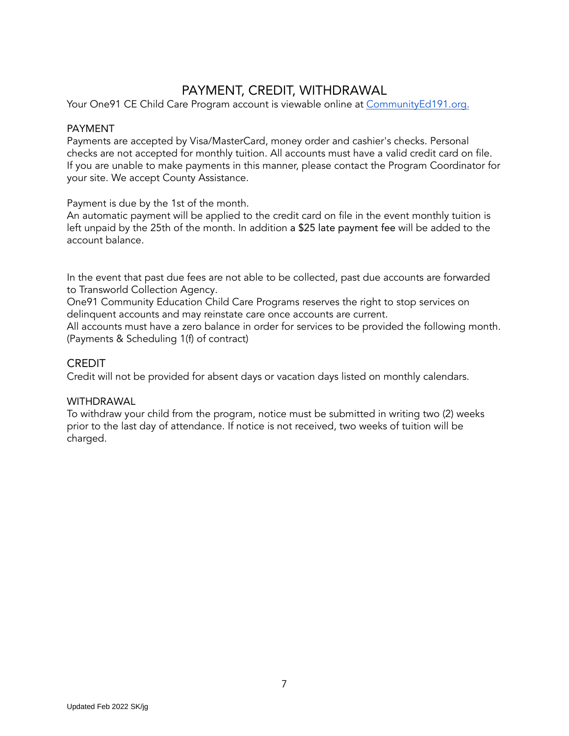## PAYMENT, CREDIT, WITHDRAWAL

Your One91 CE Child Care Program account is viewable online at [CommunityEd191.org.](https://www.communityed191.org/)

#### PAYMENT

Payments are accepted by Visa/MasterCard, money order and cashier's checks. Personal checks are not accepted for monthly tuition. All accounts must have a valid credit card on file. If you are unable to make payments in this manner, please contact the Program Coordinator for your site. We accept County Assistance.

Payment is due by the 1st of the month.

An automatic payment will be applied to the credit card on file in the event monthly tuition is left unpaid by the 25th of the month. In addition a \$25 late payment fee will be added to the account balance.

In the event that past due fees are not able to be collected, past due accounts are forwarded to Transworld Collection Agency.

One91 Community Education Child Care Programs reserves the right to stop services on delinquent accounts and may reinstate care once accounts are current.

All accounts must have a zero balance in order for services to be provided the following month. (Payments & Scheduling 1(f) of contract)

### **CREDIT**

Credit will not be provided for absent days or vacation days listed on monthly calendars.

#### WITHDRAWAL

To withdraw your child from the program, notice must be submitted in writing two (2) weeks prior to the last day of attendance. If notice is not received, two weeks of tuition will be charged.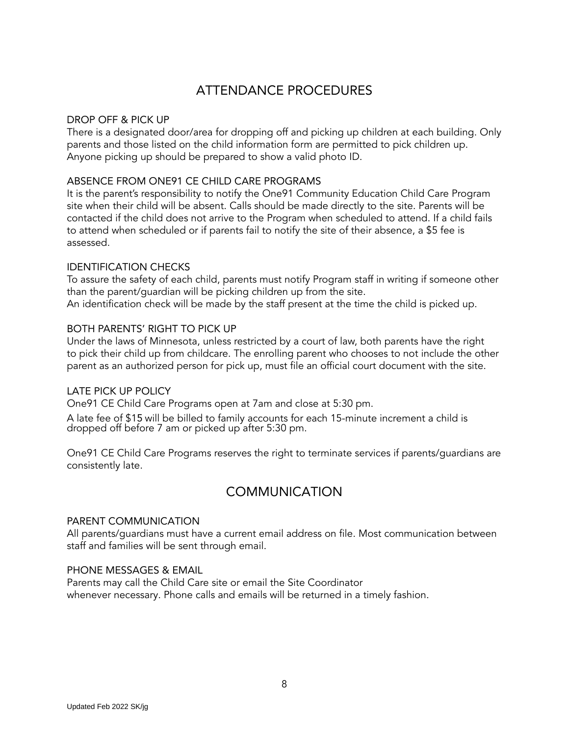# ATTENDANCE PROCEDURES

### DROP OFF & PICK UP

There is a designated door/area for dropping off and picking up children at each building. Only parents and those listed on the child information form are permitted to pick children up. Anyone picking up should be prepared to show a valid photo ID.

### ABSENCE FROM ONE91 CE CHILD CARE PROGRAMS

It is the parent's responsibility to notify the One91 Community Education Child Care Program site when their child will be absent. Calls should be made directly to the site. Parents will be contacted if the child does not arrive to the Program when scheduled to attend. If a child fails to attend when scheduled or if parents fail to notify the site of their absence, a \$5 fee is assessed.

#### IDENTIFICATION CHECKS

To assure the safety of each child, parents must notify Program staff in writing if someone other than the parent/guardian will be picking children up from the site.

An identification check will be made by the staff present at the time the child is picked up.

#### BOTH PARENTS' RIGHT TO PICK UP

Under the laws of Minnesota, unless restricted by a court of law, both parents have the right to pick their child up from childcare. The enrolling parent who chooses to not include the other parent as an authorized person for pick up, must file an official court document with the site.

### LATE PICK UP POLICY

One91 CE Child Care Programs open at 7am and close at 5:30 pm.

A late fee of \$15 will be billed to family accounts for each 15-minute increment a child is dropped off before 7 am or picked up after 5:30 pm.

One91 CE Child Care Programs reserves the right to terminate services if parents/guardians are consistently late.

### COMMUNICATION

#### PARENT COMMUNICATION

All parents/guardians must have a current email address on file. Most communication between staff and families will be sent through email.

### PHONE MESSAGES & EMAIL

Parents may call the Child Care site or email the Site Coordinator whenever necessary. Phone calls and emails will be returned in a timely fashion.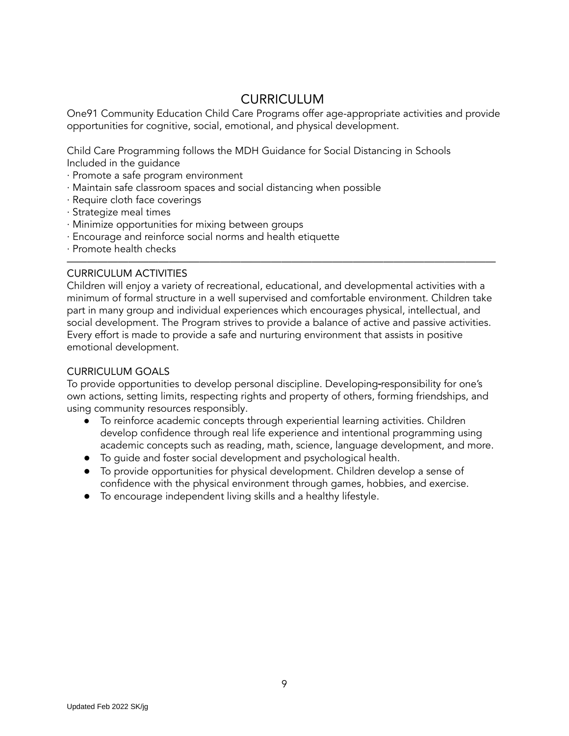### CURRICULUM

One91 Community Education Child Care Programs offer age-appropriate activities and provide opportunities for cognitive, social, emotional, and physical development.

Child Care Programming follows the MDH Guidance for Social Distancing in Schools Included in the guidance

- ∙ Promote a safe program environment
- ∙ Maintain safe classroom spaces and social distancing when possible
- ∙ Require cloth face coverings
- ∙ Strategize meal times
- ∙ Minimize opportunities for mixing between groups
- ∙ Encourage and reinforce social norms and health etiquette
- ∙ Promote health checks

#### CURRICULUM ACTIVITIES

Children will enjoy a variety of recreational, educational, and developmental activities with a minimum of formal structure in a well supervised and comfortable environment. Children take part in many group and individual experiences which encourages physical, intellectual, and social development. The Program strives to provide a balance of active and passive activities. Every effort is made to provide a safe and nurturing environment that assists in positive emotional development.

——————————————————————————————————————————

#### CURRICULUM GOALS

To provide opportunities to develop personal discipline. Developing responsibility for one's own actions, setting limits, respecting rights and property of others, forming friendships, and using community resources responsibly.

- To reinforce academic concepts through experiential learning activities. Children develop confidence through real life experience and intentional programming using academic concepts such as reading, math, science, language development, and more.
- To guide and foster social development and psychological health.
- To provide opportunities for physical development. Children develop a sense of confidence with the physical environment through games, hobbies, and exercise.
- To encourage independent living skills and a healthy lifestyle.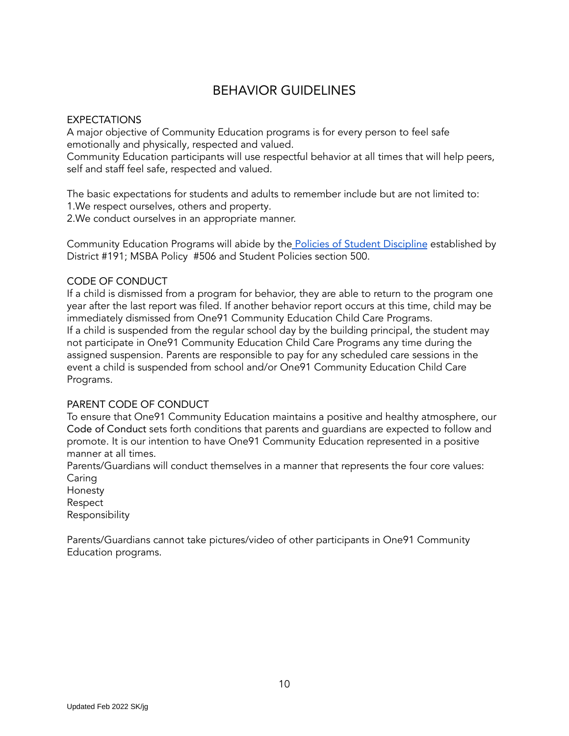### BEHAVIOR GUIDELINES

### EXPECTATIONS

A major objective of Community Education programs is for every person to feel safe emotionally and physically, respected and valued.

Community Education participants will use respectful behavior at all times that will help peers, self and staff feel safe, respected and valued.

The basic expectations for students and adults to remember include but are not limited to: 1.We respect ourselves, others and property.

2.We conduct ourselves in an appropriate manner.

Community Education Programs will abide by the [Policies of Student Discipline](https://drive.google.com/drive/folders/0BzFWO9r3Kpz7aUxLaE9YN0VhYkU) established by District #191; MSBA Policy #506 and Student Policies section 500.

### CODE OF CONDUCT

If a child is dismissed from a program for behavior, they are able to return to the program one year after the last report was filed. If another behavior report occurs at this time, child may be immediately dismissed from One91 Community Education Child Care Programs. If a child is suspended from the regular school day by the building principal, the student may not participate in One91 Community Education Child Care Programs any time during the assigned suspension. Parents are responsible to pay for any scheduled care sessions in the event a child is suspended from school and/or One91 Community Education Child Care Programs.

### PARENT CODE OF CONDUCT

To ensure that One91 Community Education maintains a positive and healthy atmosphere, our Code of Conduct sets forth conditions that parents and guardians are expected to follow and promote. It is our intention to have One91 Community Education represented in a positive manner at all times.

Parents/Guardians will conduct themselves in a manner that represents the four core values: Caring

Honesty Respect Responsibility

Parents/Guardians cannot take pictures/video of other participants in One91 Community Education programs.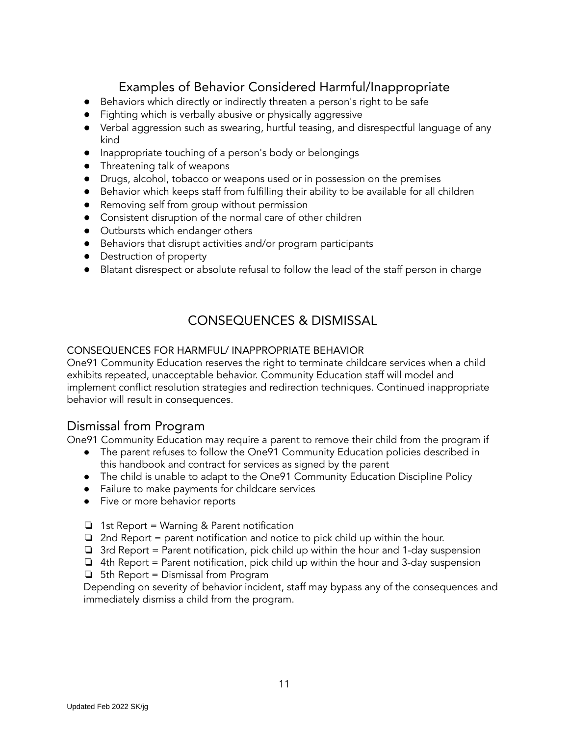# Examples of Behavior Considered Harmful/Inappropriate

- Behaviors which directly or indirectly threaten a person's right to be safe
- Fighting which is verbally abusive or physically aggressive
- Verbal aggression such as swearing, hurtful teasing, and disrespectful language of any kind
- Inappropriate touching of a person's body or belongings
- Threatening talk of weapons
- Drugs, alcohol, tobacco or weapons used or in possession on the premises
- Behavior which keeps staff from fulfilling their ability to be available for all children
- Removing self from group without permission
- Consistent disruption of the normal care of other children
- Outbursts which endanger others
- Behaviors that disrupt activities and/or program participants
- Destruction of property
- Blatant disrespect or absolute refusal to follow the lead of the staff person in charge

# CONSEQUENCES & DISMISSAL

### CONSEQUENCES FOR HARMFUL/ INAPPROPRIATE BEHAVIOR

One91 Community Education reserves the right to terminate childcare services when a child exhibits repeated, unacceptable behavior. Community Education staff will model and implement conflict resolution strategies and redirection techniques. Continued inappropriate behavior will result in consequences.

### Dismissal from Program

One91 Community Education may require a parent to remove their child from the program if

- The parent refuses to follow the One91 Community Education policies described in this handbook and contract for services as signed by the parent
- The child is unable to adapt to the One91 Community Education Discipline Policy
- Failure to make payments for childcare services
- Five or more behavior reports
- ❏ 1st Report = Warning & Parent notification
- $\Box$  2nd Report = parent notification and notice to pick child up within the hour.
- ❏ 3rd Report = Parent notification, pick child up within the hour and 1-day suspension
- $\Box$  4th Report = Parent notification, pick child up within the hour and 3-day suspension
- ❏ 5th Report = Dismissal from Program

Depending on severity of behavior incident, staff may bypass any of the consequences and immediately dismiss a child from the program.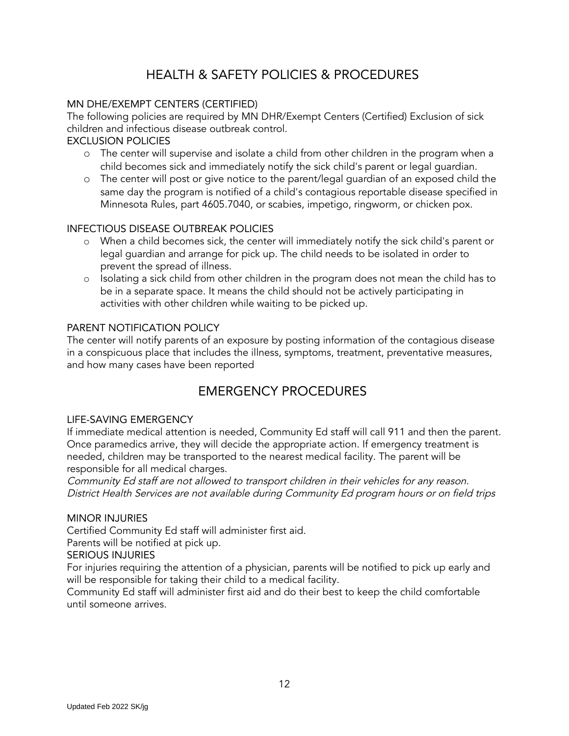# HEALTH & SAFETY POLICIES & PROCEDURES

### MN DHE/EXEMPT CENTERS (CERTIFIED)

The following policies are required by MN DHR/Exempt Centers (Certified) Exclusion of sick children and infectious disease outbreak control.

### EXCLUSION POLICIES

- o The center will supervise and isolate a child from other children in the program when a child becomes sick and immediately notify the sick child's parent or legal guardian.
- o The center will post or give notice to the parent/legal guardian of an exposed child the same day the program is notified of a child's contagious reportable disease specified in Minnesota Rules, part 4605.7040, or scabies, impetigo, ringworm, or chicken pox.

### INFECTIOUS DISEASE OUTBREAK POLICIES

- o When a child becomes sick, the center will immediately notify the sick child's parent or legal guardian and arrange for pick up. The child needs to be isolated in order to prevent the spread of illness.
- o Isolating a sick child from other children in the program does not mean the child has to be in a separate space. It means the child should not be actively participating in activities with other children while waiting to be picked up.

### PARENT NOTIFICATION POLICY

The center will notify parents of an exposure by posting information of the contagious disease in a conspicuous place that includes the illness, symptoms, treatment, preventative measures, and how many cases have been reported

### EMERGENCY PROCEDURES

### LIFE-SAVING EMERGENCY

If immediate medical attention is needed, Community Ed staff will call 911 and then the parent. Once paramedics arrive, they will decide the appropriate action. If emergency treatment is needed, children may be transported to the nearest medical facility. The parent will be responsible for all medical charges.

Community Ed staff are not allowed to transport children in their vehicles for any reason. District Health Services are not available during Community Ed program hours or on field trips

### MINOR INJURIES

Certified Community Ed staff will administer first aid.

Parents will be notified at pick up.

#### SERIOUS INJURIES

For injuries requiring the attention of a physician, parents will be notified to pick up early and will be responsible for taking their child to a medical facility.

Community Ed staff will administer first aid and do their best to keep the child comfortable until someone arrives.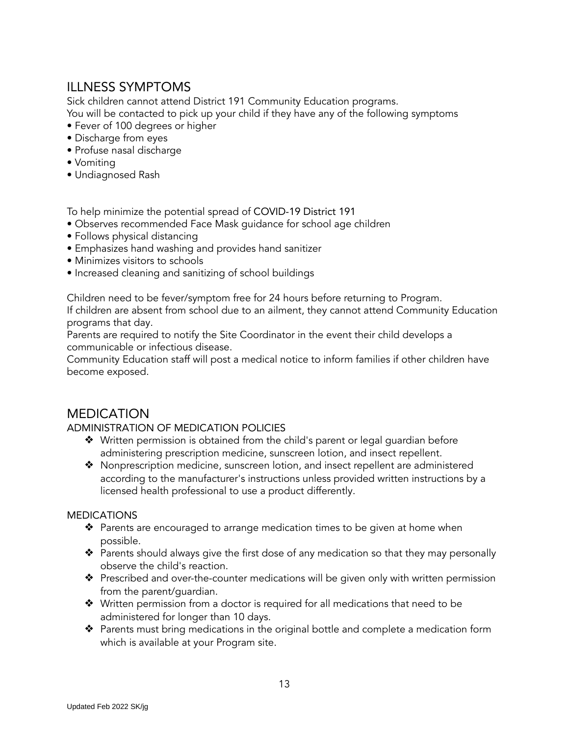### ILLNESS SYMPTOMS

Sick children cannot attend District 191 Community Education programs.

You will be contacted to pick up your child if they have any of the following symptoms

- Fever of 100 degrees or higher
- Discharge from eyes
- Profuse nasal discharge
- Vomiting
- Undiagnosed Rash

To help minimize the potential spread of [COVID-19 District 191](https://www.isd191.org/discover/covid-19)

- Observes recommended Face Mask guidance for school age children
- Follows physical distancing
- Emphasizes hand washing and provides hand sanitizer
- Minimizes visitors to schools
- Increased cleaning and sanitizing of school buildings

Children need to be fever/symptom free for 24 hours before returning to Program.

If children are absent from school due to an ailment, they cannot attend Community Education programs that day.

Parents are required to notify the Site Coordinator in the event their child develops a communicable or infectious disease.

Community Education staff will post a medical notice to inform families if other children have become exposed.

### MEDICATION

### ADMINISTRATION OF MEDICATION POLICIES

- ❖ Written permission is obtained from the child's parent or legal guardian before administering prescription medicine, sunscreen lotion, and insect repellent.
- ❖ Nonprescription medicine, sunscreen lotion, and insect repellent are administered according to the manufacturer's instructions unless provided written instructions by a licensed health professional to use a product differently.

### MEDICATIONS

- ❖ Parents are encouraged to arrange medication times to be given at home when possible.
- ❖ Parents should always give the first dose of any medication so that they may personally observe the child's reaction.
- ❖ Prescribed and over-the-counter medications will be given only with written permission from the parent/guardian.
- ❖ Written permission from a doctor is required for all medications that need to be administered for longer than 10 days.
- ❖ Parents must bring medications in the original bottle and complete a medication form which is available at your Program site.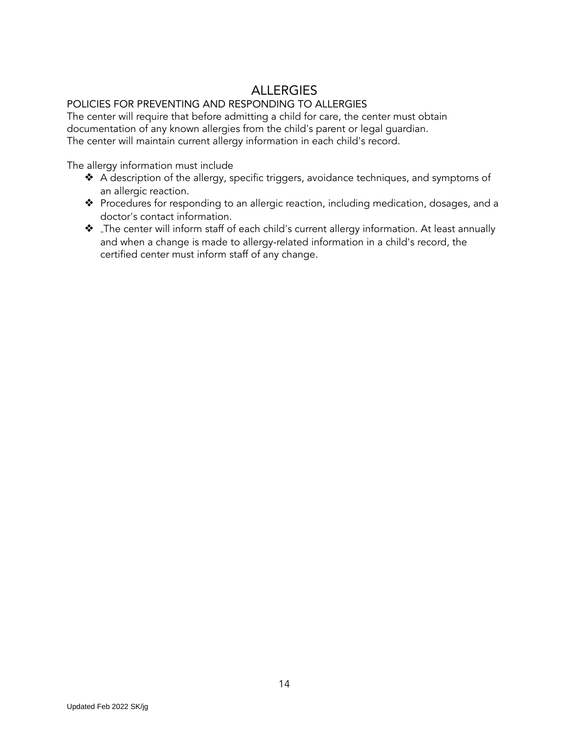## ALLERGIES

### POLICIES FOR PREVENTING AND RESPONDING TO ALLERGIES

The center will require that before admitting a child for care, the center must obtain documentation of any known allergies from the child's parent or legal guardian. The center will maintain current allergy information in each child's record.

The allergy information must include

- ❖ A description of the allergy, specific triggers, avoidance techniques, and symptoms of an allergic reaction.
- ❖ Procedures for responding to an allergic reaction, including medication, dosages, and a doctor's contact information.
- ❖ <sup>⇒</sup>The center will inform staff of each child's current allergy information. At least annually and when a change is made to allergy-related information in a child's record, the certified center must inform staff of any change.